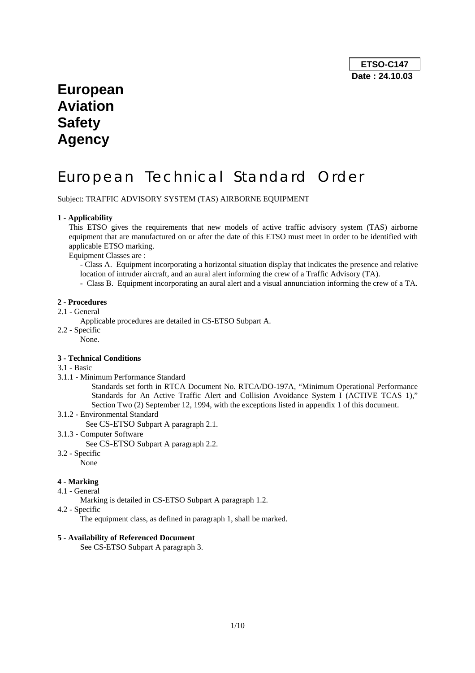## **European Aviation Safety Agency**

# European Technical Standard Order

Subject: TRAFFIC ADVISORY SYSTEM (TAS) AIRBORNE EQUIPMENT

## **1 - Applicability**

This ETSO gives the requirements that new models of active traffic advisory system (TAS) airborne equipment that are manufactured on or after the date of this ETSO must meet in order to be identified with applicable ETSO marking.

Equipment Classes are :

- Class A. Equipment incorporating a horizontal situation display that indicates the presence and relative location of intruder aircraft, and an aural alert informing the crew of a Traffic Advisory (TA).

- Class B. Equipment incorporating an aural alert and a visual annunciation informing the crew of a TA.

#### **2 - Procedures**

- 2.1 General
- Applicable procedures are detailed in CS-ETSO Subpart A.
- 2.2 Specific
	- None.

#### **3 - Technical Conditions**

## 3.1 - Basic

- 3.1.1 Minimum Performance Standard
	- Standards set forth in RTCA Document No. RTCA/DO-197A, "Minimum Operational Performance Standards for An Active Traffic Alert and Collision Avoidance System I (ACTIVE TCAS 1)," Section Two (2) September 12, 1994, with the exceptions listed in appendix 1 of this document.

### 3.1.2 - Environmental Standard

See CS-ETSO Subpart A paragraph 2.1.

3.1.3 - Computer Software

See CS-ETSO Subpart A paragraph 2.2.

3.2 - Specific

None

## **4 - Marking**

- 4.1 General
	- Marking is detailed in CS-ETSO Subpart A paragraph 1.2.
- 4.2 Specific

The equipment class, as defined in paragraph 1, shall be marked.

## **5 - Availability of Referenced Document**

See CS-ETSO Subpart A paragraph 3.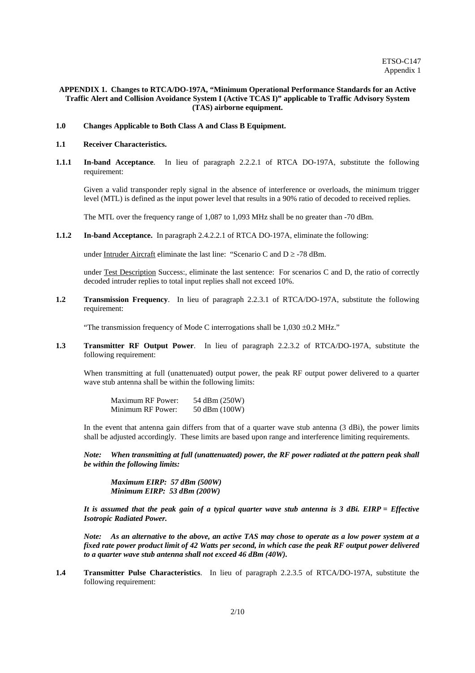#### **APPENDIX 1. Changes to RTCA/DO-197A, "Minimum Operational Performance Standards for an Active Traffic Alert and Collision Avoidance System I (Active TCAS I)" applicable to Traffic Advisory System (TAS) airborne equipment.**

#### **1.0 Changes Applicable to Both Class A and Class B Equipment.**

#### **1.1 Receiver Characteristics.**

**1.1.1 In-band Acceptance**. In lieu of paragraph 2.2.2.1 of RTCA DO-197A, substitute the following requirement:

Given a valid transponder reply signal in the absence of interference or overloads, the minimum trigger level (MTL) is defined as the input power level that results in a 90% ratio of decoded to received replies.

The MTL over the frequency range of 1,087 to 1,093 MHz shall be no greater than -70 dBm.

**1.1.2 In-band Acceptance.** In paragraph 2.4.2.2.1 of RTCA DO-197A, eliminate the following:

under Intruder Aircraft eliminate the last line: "Scenario C and  $D \ge -78$  dBm.

under Test Description Success:, eliminate the last sentence: For scenarios C and D, the ratio of correctly decoded intruder replies to total input replies shall not exceed 10%.

**1.2 Transmission Frequency**. In lieu of paragraph 2.2.3.1 of RTCA/DO-197A, substitute the following requirement:

"The transmission frequency of Mode C interrogations shall be 1,030 ±0.2 MHz."

**1.3 Transmitter RF Output Power**. In lieu of paragraph 2.2.3.2 of RTCA/DO-197A, substitute the following requirement:

When transmitting at full (unattenuated) output power, the peak RF output power delivered to a quarter wave stub antenna shall be within the following limits:

| <b>Maximum RF Power:</b> | 54 dBm (250W) |
|--------------------------|---------------|
| Minimum RF Power:        | 50 dBm (100W) |

In the event that antenna gain differs from that of a quarter wave stub antenna (3 dBi), the power limits shall be adjusted accordingly. These limits are based upon range and interference limiting requirements.

*Note: When transmitting at full (unattenuated) power, the RF power radiated at the pattern peak shall be within the following limits:* 

 *Maximum EIRP: 57 dBm (500W) Minimum EIRP: 53 dBm (200W)* 

*It is assumed that the peak gain of a typical quarter wave stub antenna is 3 dBi. EIRP = Effective Isotropic Radiated Power.* 

*Note: As an alternative to the above, an active TAS may chose to operate as a low power system at a fixed rate power product limit of 42 Watts per second, in which case the peak RF output power delivered to a quarter wave stub antenna shall not exceed 46 dBm (40W).*

**1.4 Transmitter Pulse Characteristics**. In lieu of paragraph 2.2.3.5 of RTCA/DO-197A, substitute the following requirement: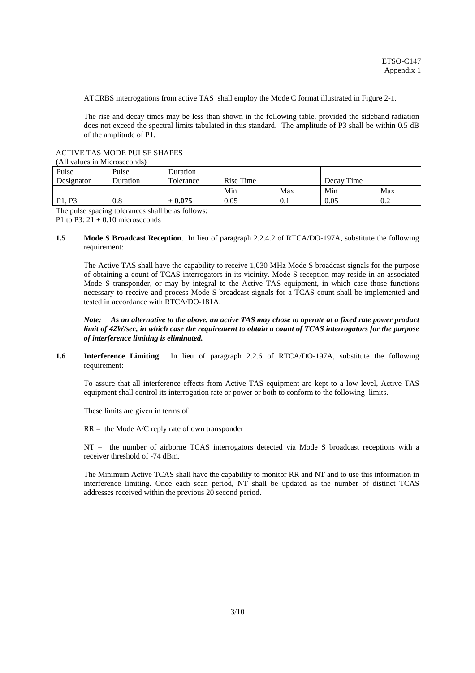ATCRBS interrogations from active TAS shall employ the Mode C format illustrated in Figure 2-1.

The rise and decay times may be less than shown in the following table, provided the sideband radiation does not exceed the spectral limits tabulated in this standard. The amplitude of P3 shall be within 0.5 dB of the amplitude of P1.

ACTIVE TAS MODE PULSE SHAPES

|  |  | (All values in Microseconds) |  |
|--|--|------------------------------|--|
|--|--|------------------------------|--|

| Pulse<br>Designator             | Pulse<br>Duration | Duration<br>Tolerance | Rise Time |     | Decay Time |     |
|---------------------------------|-------------------|-----------------------|-----------|-----|------------|-----|
|                                 |                   |                       | Min       | Max | Min        | Max |
| P <sub>1</sub> . P <sub>3</sub> | 0.8               | $-0.075$              | 0.05      | 0.1 | 0.05       | 0.2 |

The pulse spacing tolerances shall be as follows: P1 to P3:  $21 + 0.10$  microseconds

#### **1.5 Mode S Broadcast Reception**. In lieu of paragraph 2.2.4.2 of RTCA/DO-197A, substitute the following requirement:

The Active TAS shall have the capability to receive 1,030 MHz Mode S broadcast signals for the purpose of obtaining a count of TCAS interrogators in its vicinity. Mode S reception may reside in an associated Mode S transponder, or may by integral to the Active TAS equipment, in which case those functions necessary to receive and process Mode S broadcast signals for a TCAS count shall be implemented and tested in accordance with RTCA/DO-181A.

#### *Note: As an alternative to the above, an active TAS may chose to operate at a fixed rate power product limit of 42W/sec, in which case the requirement to obtain a count of TCAS interrogators for the purpose of interference limiting is eliminated.*

#### **1.6 Interference Limiting**. In lieu of paragraph 2.2.6 of RTCA/DO-197A, substitute the following requirement:

To assure that all interference effects from Active TAS equipment are kept to a low level, Active TAS equipment shall control its interrogation rate or power or both to conform to the following limits.

These limits are given in terms of

 $RR =$  the Mode A/C reply rate of own transponder

NT = the number of airborne TCAS interrogators detected via Mode S broadcast receptions with a receiver threshold of -74 dBm.

The Minimum Active TCAS shall have the capability to monitor RR and NT and to use this information in interference limiting. Once each scan period, NT shall be updated as the number of distinct TCAS addresses received within the previous 20 second period.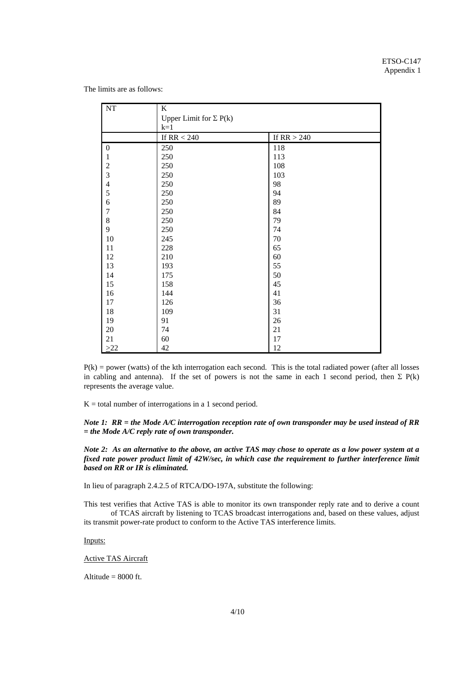The limits are as follows:

| $\rm{NT}$        | K                             |               |  |
|------------------|-------------------------------|---------------|--|
|                  | Upper Limit for $\Sigma$ P(k) |               |  |
|                  | $k=1$                         |               |  |
|                  | If RR $< 240$                 | If $RR > 240$ |  |
| $\boldsymbol{0}$ | 250                           | 118           |  |
| 1                | 250                           | 113           |  |
|                  | 250                           | 108           |  |
| $\frac{2}{3}$    | 250                           | 103           |  |
| $\overline{4}$   | 250                           | 98            |  |
| 5                | 250                           | 94            |  |
| $\boldsymbol{6}$ | 250                           | 89            |  |
| $\overline{7}$   | 250                           | 84            |  |
| $\,$ $\,$        | 250                           | 79            |  |
| 9                | 250                           | 74            |  |
| 10               | 245                           | 70            |  |
| 11               | 228                           | 65            |  |
| 12               | 210                           | 60            |  |
| 13               | 193                           | 55            |  |
| 14               | 175                           | 50            |  |
| 15               | 158                           | 45            |  |
| 16               | 144                           | 41            |  |
| 17               | 126                           | 36            |  |
| 18               | 109                           | 31            |  |
| 19               | 91                            | $26\,$        |  |
| $20\,$           | 74                            | 21            |  |
| 21               | 60                            | 17            |  |
| $\geq$ 22        | 42                            | 12            |  |

 $P(k)$  = power (watts) of the kth interrogation each second. This is the total radiated power (after all losses in cabling and antenna). If the set of powers is not the same in each 1 second period, then  $\Sigma$  P(k) represents the average value.

 $K =$  total number of interrogations in a 1 second period.

*Note 1: RR = the Mode A/C interrogation reception rate of own transponder may be used instead of RR = the Mode A/C reply rate of own transponder.* 

*Note 2: As an alternative to the above, an active TAS may chose to operate as a low power system at a fixed rate power product limit of 42W/sec, in which case the requirement to further interference limit based on RR or IR is eliminated.*

In lieu of paragraph 2.4.2.5 of RTCA/DO-197A, substitute the following:

This test verifies that Active TAS is able to monitor its own transponder reply rate and to derive a count of TCAS aircraft by listening to TCAS broadcast interrogations and, based on these values, adjust its transmit power-rate product to conform to the Active TAS interference limits.

Inputs:

Active TAS Aircraft

Altitude  $= 8000$  ft.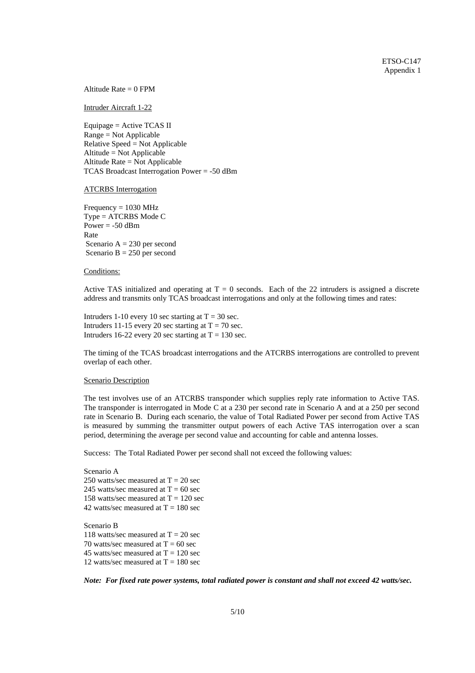Altitude Rate  $= 0$  FPM

Intruder Aircraft 1-22

Equipage = Active TCAS II Range = Not Applicable Relative Speed = Not Applicable Altitude = Not Applicable Altitude Rate = Not Applicable TCAS Broadcast Interrogation Power = -50 dBm

#### ATCRBS Interrogation

 $Frequency = 1030 MHz$ Type = ATCRBS Mode C Power  $= -50$  dBm Rate Scenario  $A = 230$  per second Scenario  $B = 250$  per second

#### Conditions:

Active TAS initialized and operating at  $T = 0$  seconds. Each of the 22 intruders is assigned a discrete address and transmits only TCAS broadcast interrogations and only at the following times and rates:

Intruders 1-10 every 10 sec starting at  $T = 30$  sec. Intruders 11-15 every 20 sec starting at  $T = 70$  sec. Intruders 16-22 every 20 sec starting at  $T = 130$  sec.

The timing of the TCAS broadcast interrogations and the ATCRBS interrogations are controlled to prevent overlap of each other.

#### Scenario Description

The test involves use of an ATCRBS transponder which supplies reply rate information to Active TAS. The transponder is interrogated in Mode C at a 230 per second rate in Scenario A and at a 250 per second rate in Scenario B. During each scenario, the value of Total Radiated Power per second from Active TAS is measured by summing the transmitter output powers of each Active TAS interrogation over a scan period, determining the average per second value and accounting for cable and antenna losses.

Success: The Total Radiated Power per second shall not exceed the following values:

Scenario A 250 watts/sec measured at  $T = 20$  sec 245 watts/sec measured at  $T = 60$  sec 158 watts/sec measured at  $T = 120$  sec 42 watts/sec measured at  $T = 180$  sec

Scenario B 118 watts/sec measured at  $T = 20$  sec 70 watts/sec measured at  $T = 60$  sec 45 watts/sec measured at  $T = 120$  sec 12 watts/sec measured at  $T = 180$  sec

*Note: For fixed rate power systems, total radiated power is constant and shall not exceed 42 watts/sec.*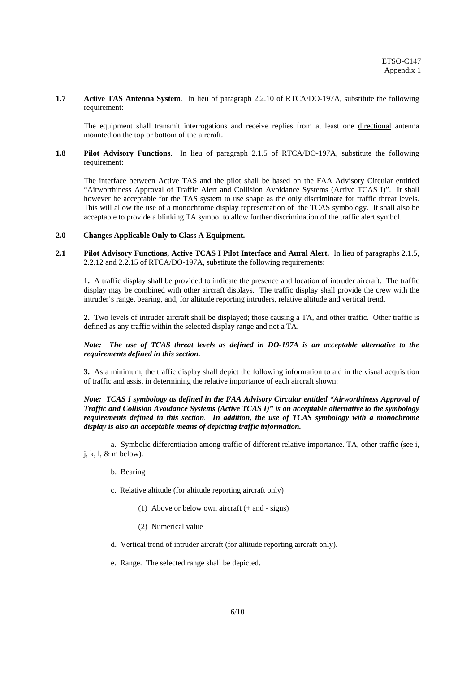#### **1.7 Active TAS Antenna System**. In lieu of paragraph 2.2.10 of RTCA/DO-197A, substitute the following requirement:

The equipment shall transmit interrogations and receive replies from at least one directional antenna mounted on the top or bottom of the aircraft.

#### **1.8 Pilot Advisory Functions**. In lieu of paragraph 2.1.5 of RTCA/DO-197A, substitute the following requirement:

The interface between Active TAS and the pilot shall be based on the FAA Advisory Circular entitled "Airworthiness Approval of Traffic Alert and Collision Avoidance Systems (Active TCAS I)". It shall however be acceptable for the TAS system to use shape as the only discriminate for traffic threat levels. This will allow the use of a monochrome display representation of the TCAS symbology. It shall also be acceptable to provide a blinking TA symbol to allow further discrimination of the traffic alert symbol.

#### **2.0 Changes Applicable Only to Class A Equipment.**

**2.1 Pilot Advisory Functions, Active TCAS I Pilot Interface and Aural Alert.** In lieu of paragraphs 2.1.5, 2.2.12 and 2.2.15 of RTCA/DO-197A, substitute the following requirements:

**1.** A traffic display shall be provided to indicate the presence and location of intruder aircraft. The traffic display may be combined with other aircraft displays. The traffic display shall provide the crew with the intruder's range, bearing, and, for altitude reporting intruders, relative altitude and vertical trend.

**2.** Two levels of intruder aircraft shall be displayed; those causing a TA, and other traffic. Other traffic is defined as any traffic within the selected display range and not a TA.

### *Note: The use of TCAS threat levels as defined in DO-197A is an acceptable alternative to the requirements defined in this section.*

**3.** As a minimum, the traffic display shall depict the following information to aid in the visual acquisition of traffic and assist in determining the relative importance of each aircraft shown:

#### *Note: TCAS I symbology as defined in the FAA Advisory Circular entitled "Airworthiness Approval of Traffic and Collision Avoidance Systems (Active TCAS I)" is an acceptable alternative to the symbology requirements defined in this section. In addition, the use of TCAS symbology with a monochrome display is also an acceptable means of depicting traffic information.*

 a. Symbolic differentiation among traffic of different relative importance. TA, other traffic (see i,  $j, k, l, \&$  m below).

- b. Bearing
- c. Relative altitude (for altitude reporting aircraft only)
	- (1) Above or below own aircraft (+ and signs)
	- (2) Numerical value
- d. Vertical trend of intruder aircraft (for altitude reporting aircraft only).
- e. Range. The selected range shall be depicted.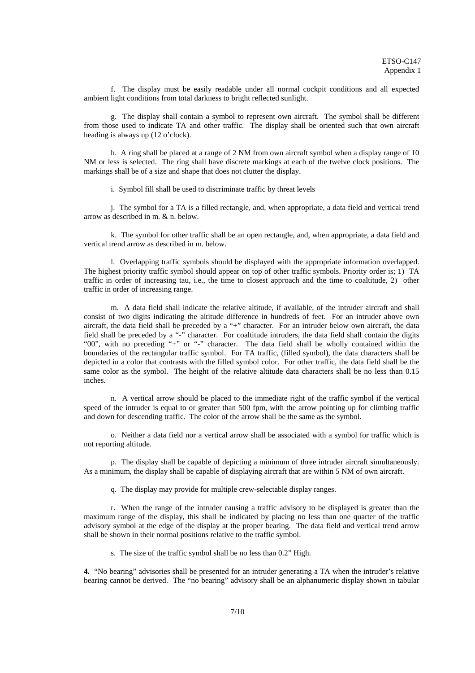f. The display must be easily readable under all normal cockpit conditions and all expected ambient light conditions from total darkness to bright reflected sunlight.

 g. The display shall contain a symbol to represent own aircraft. The symbol shall be different from those used to indicate TA and other traffic. The display shall be oriented such that own aircraft heading is always up (12 o'clock).

 h. A ring shall be placed at a range of 2 NM from own aircraft symbol when a display range of 10 NM or less is selected. The ring shall have discrete markings at each of the twelve clock positions. The markings shall be of a size and shape that does not clutter the display.

i. Symbol fill shall be used to discriminate traffic by threat levels

 j. The symbol for a TA is a filled rectangle, and, when appropriate, a data field and vertical trend arrow as described in m. & n. below.

 k. The symbol for other traffic shall be an open rectangle, and, when appropriate, a data field and vertical trend arrow as described in m. below.

 l. Overlapping traffic symbols should be displayed with the appropriate information overlapped. The highest priority traffic symbol should appear on top of other traffic symbols. Priority order is; 1) TA traffic in order of increasing tau, i.e., the time to closest approach and the time to coaltitude, 2) other traffic in order of increasing range.

 m. A data field shall indicate the relative altitude, if available, of the intruder aircraft and shall consist of two digits indicating the altitude difference in hundreds of feet. For an intruder above own aircraft, the data field shall be preceded by a "+" character. For an intruder below own aircraft, the data field shall be preceded by a "-" character. For coaltitude intruders, the data field shall contain the digits "00", with no preceding "+" or "-" character. The data field shall be wholly contained within the boundaries of the rectangular traffic symbol. For TA traffic, (filled symbol), the data characters shall be depicted in a color that contrasts with the filled symbol color. For other traffic, the data field shall be the same color as the symbol. The height of the relative altitude data characters shall be no less than 0.15 inches.

 n. A vertical arrow should be placed to the immediate right of the traffic symbol if the vertical speed of the intruder is equal to or greater than 500 fpm, with the arrow pointing up for climbing traffic and down for descending traffic. The color of the arrow shall be the same as the symbol.

 o. Neither a data field nor a vertical arrow shall be associated with a symbol for traffic which is not reporting altitude.

 p. The display shall be capable of depicting a minimum of three intruder aircraft simultaneously. As a minimum, the display shall be capable of displaying aircraft that are within 5 NM of own aircraft.

q. The display may provide for multiple crew-selectable display ranges.

 r. When the range of the intruder causing a traffic advisory to be displayed is greater than the maximum range of the display, this shall be indicated by placing no less than one quarter of the traffic advisory symbol at the edge of the display at the proper bearing. The data field and vertical trend arrow shall be shown in their normal positions relative to the traffic symbol.

s. The size of the traffic symbol shall be no less than 0.2" High.

**4.** "No bearing" advisories shall be presented for an intruder generating a TA when the intruder's relative bearing cannot be derived. The "no bearing" advisory shall be an alphanumeric display shown in tabular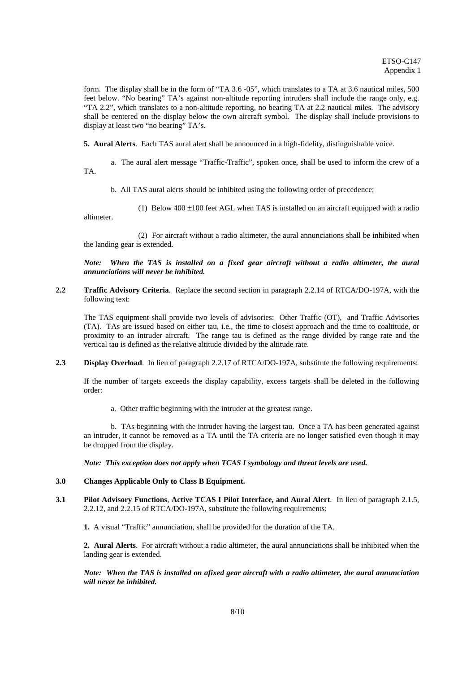form. The display shall be in the form of "TA 3.6 -05", which translates to a TA at 3.6 nautical miles, 500 feet below. "No bearing" TA's against non-altitude reporting intruders shall include the range only, e.g. "TA 2.2", which translates to a non-altitude reporting, no bearing TA at 2.2 nautical miles. The advisory shall be centered on the display below the own aircraft symbol. The display shall include provisions to display at least two "no bearing" TA's.

**5. Aural Alerts**. Each TAS aural alert shall be announced in a high-fidelity, distinguishable voice.

 a. The aural alert message "Traffic-Traffic", spoken once, shall be used to inform the crew of a TA.

b. All TAS aural alerts should be inhibited using the following order of precedence;

(1) Below  $400 \pm 100$  feet AGL when TAS is installed on an aircraft equipped with a radio altimeter.

 (2) For aircraft without a radio altimeter, the aural annunciations shall be inhibited when the landing gear is extended.

*Note: When the TAS is installed on a fixed gear aircraft without a radio altimeter, the aural annunciations will never be inhibited.* 

**2.2 Traffic Advisory Criteria**. Replace the second section in paragraph 2.2.14 of RTCA/DO-197A, with the following text:

The TAS equipment shall provide two levels of advisories: Other Traffic (OT), and Traffic Advisories (TA). TAs are issued based on either tau, i.e., the time to closest approach and the time to coaltitude, or proximity to an intruder aircraft. The range tau is defined as the range divided by range rate and the vertical tau is defined as the relative altitude divided by the altitude rate.

**2.3 Display Overload**. In lieu of paragraph 2.2.17 of RTCA/DO-197A, substitute the following requirements:

If the number of targets exceeds the display capability, excess targets shall be deleted in the following order:

a. Other traffic beginning with the intruder at the greatest range.

 b. TAs beginning with the intruder having the largest tau. Once a TA has been generated against an intruder, it cannot be removed as a TA until the TA criteria are no longer satisfied even though it may be dropped from the display.

*Note: This exception does not apply when TCAS I symbology and threat levels are used.* 

#### **3.0 Changes Applicable Only to Class B Equipment.**

**3.1 Pilot Advisory Functions**, **Active TCAS I Pilot Interface, and Aural Alert**. In lieu of paragraph 2.1.5, 2.2.12, and 2.2.15 of RTCA/DO-197A, substitute the following requirements:

**1.** A visual "Traffic" annunciation, shall be provided for the duration of the TA.

**2. Aural Alerts**. For aircraft without a radio altimeter, the aural annunciations shall be inhibited when the landing gear is extended.

*Note: When the TAS is installed on afixed gear aircraft with a radio altimeter, the aural annunciation will never be inhibited.*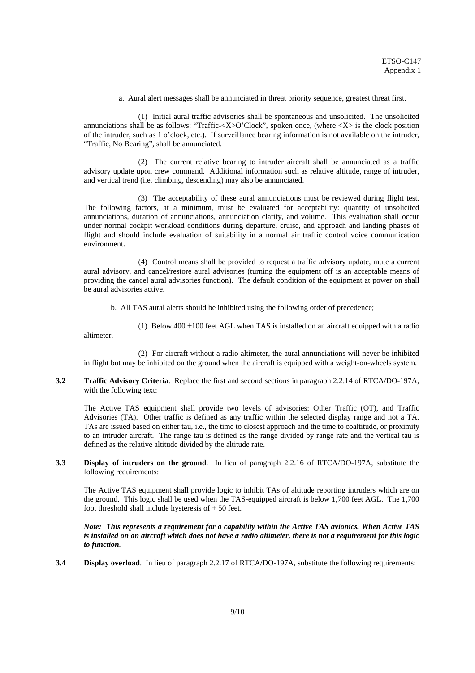a. Aural alert messages shall be annunciated in threat priority sequence, greatest threat first.

 (1) Initial aural traffic advisories shall be spontaneous and unsolicited. The unsolicited annunciations shall be as follows: "Traffic- $\langle X \rangle$ O'Clock", spoken once, (where  $\langle X \rangle$  is the clock position of the intruder, such as 1 o'clock, etc.). If surveillance bearing information is not available on the intruder, "Traffic, No Bearing", shall be annunciated.

 (2) The current relative bearing to intruder aircraft shall be annunciated as a traffic advisory update upon crew command. Additional information such as relative altitude, range of intruder, and vertical trend (i.e. climbing, descending) may also be annunciated.

 (3) The acceptability of these aural annunciations must be reviewed during flight test. The following factors, at a minimum, must be evaluated for acceptability: quantity of unsolicited annunciations, duration of annunciations, annunciation clarity, and volume. This evaluation shall occur under normal cockpit workload conditions during departure, cruise, and approach and landing phases of flight and should include evaluation of suitability in a normal air traffic control voice communication environment.

 (4) Control means shall be provided to request a traffic advisory update, mute a current aural advisory, and cancel/restore aural advisories (turning the equipment off is an acceptable means of providing the cancel aural advisories function). The default condition of the equipment at power on shall be aural advisories active.

b. All TAS aural alerts should be inhibited using the following order of precedence;

(1) Below  $400 \pm 100$  feet AGL when TAS is installed on an aircraft equipped with a radio altimeter.

 (2) For aircraft without a radio altimeter, the aural annunciations will never be inhibited in flight but may be inhibited on the ground when the aircraft is equipped with a weight-on-wheels system.

**3.2 Traffic Advisory Criteria**. Replace the first and second sections in paragraph 2.2.14 of RTCA/DO-197A, with the following text:

The Active TAS equipment shall provide two levels of advisories: Other Traffic (OT), and Traffic Advisories (TA). Other traffic is defined as any traffic within the selected display range and not a TA. TAs are issued based on either tau, i.e., the time to closest approach and the time to coaltitude, or proximity to an intruder aircraft. The range tau is defined as the range divided by range rate and the vertical tau is defined as the relative altitude divided by the altitude rate.

**3.3 Display of intruders on the ground**. In lieu of paragraph 2.2.16 of RTCA/DO-197A, substitute the following requirements:

The Active TAS equipment shall provide logic to inhibit TAs of altitude reporting intruders which are on the ground. This logic shall be used when the TAS-equipped aircraft is below 1,700 feet AGL. The 1,700 foot threshold shall include hysteresis of + 50 feet.

*Note: This represents a requirement for a capability within the Active TAS avionics. When Active TAS is installed on an aircraft which does not have a radio altimeter, there is not a requirement for this logic to function.* 

**3.4 Display overload**. In lieu of paragraph 2.2.17 of RTCA/DO-197A, substitute the following requirements: